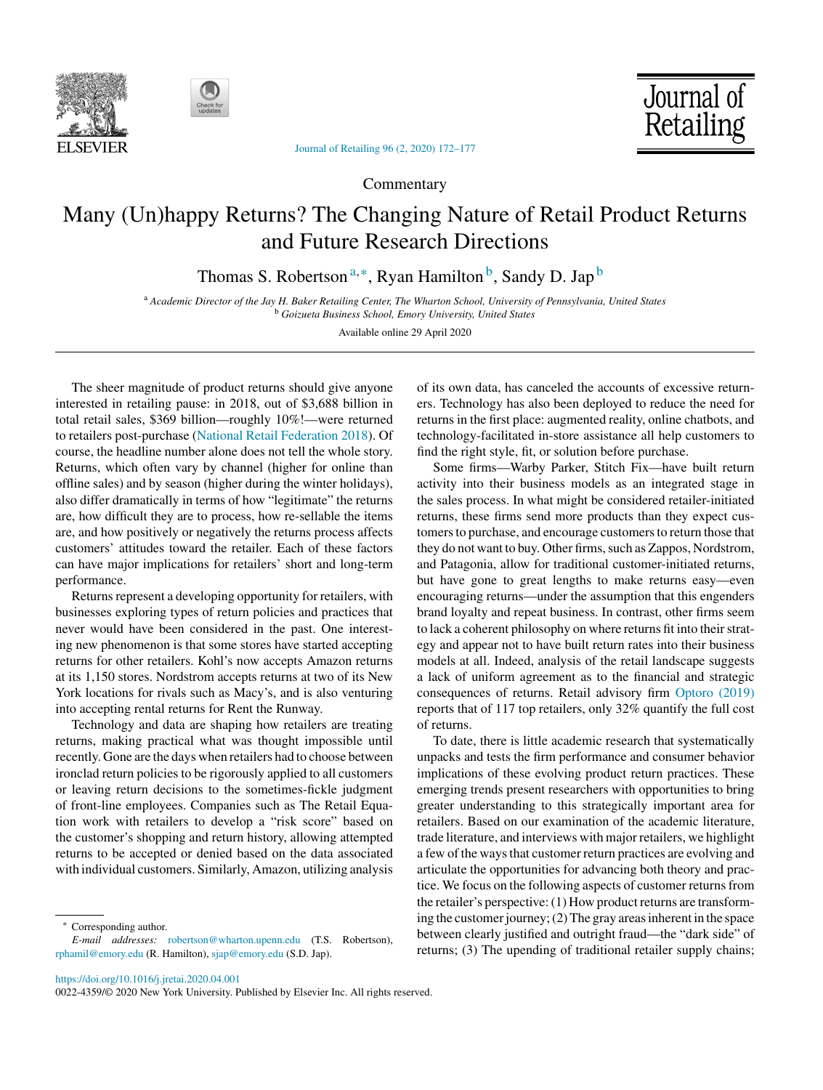



Journal of [Retailing](https://doi.org/10.1016/j.jretai.2020.04.001) 96 (2, 2020) 172–177

Commentary

# Many (Un)happy Returns? The Changing Nature of Retail Product Returns and Future Research Directions

Thomas S. Robertson<sup>a,\*</sup>, Ryan Hamilton<sup>b</sup>, Sandy D. Jap<sup>b</sup>

<sup>a</sup> Academic Director of the Jay H. Baker Retailing Center, The Wharton School, University of Pennsylvania, United States <sup>b</sup> *Goizueta Business School, Emory University, United States*

Available online 29 April 2020

The sheer magnitude of product returns should give anyone interested in retailing pause: in 2018, out of \$3,688 billion in total retail sales, \$369 billion—roughly 10%!—were returned to retailers post-purchase ([National](#page-5-0) [Retail](#page-5-0) [Federation](#page-5-0) [2018\).](#page-5-0) Of course, the headline number alone does not tell the whole story. Returns, which often vary by channel (higher for online than offline sales) and by season (higher during the winter holidays), also differ dramatically in terms of how "legitimate" the returns are, how difficult they are to process, how re-sellable the items are, and how positively or negatively the returns process affects customers' attitudes toward the retailer. Each of these factors can have major implications for retailers' short and long-term performance.

Returns represent a developing opportunity for retailers, with businesses exploring types of return policies and practices that never would have been considered in the past. One interesting new phenomenon is that some stores have started accepting returns for other retailers. Kohl's now accepts Amazon returns at its 1,150 stores. Nordstrom accepts returns at two of its New York locations for rivals such as Macy's, and is also venturing into accepting rental returns for Rent the Runway.

Technology and data are shaping how retailers are treating returns, making practical what was thought impossible until recently. Gone are the days when retailers had to choose between ironclad return policies to be rigorously applied to all customers or leaving return decisions to the sometimes-fickle judgment of front-line employees. Companies such as The Retail Equation work with retailers to develop a "risk score" based on the customer's shopping and return history, allowing attempted returns to be accepted or denied based on the data associated with individual customers. Similarly, Amazon, utilizing analysis

∗ Corresponding author.

of its own data, has canceled the accounts of excessive returners. Technology has also been deployed to reduce the need for returns in the first place: augmented reality, online chatbots, and technology-facilitated in-store assistance all help customers to find the right style, fit, or solution before purchase.

Journal of

Retailing

Some firms—Warby Parker, Stitch Fix—have built return activity into their business models as an integrated stage in the sales process. In what might be considered retailer-initiated returns, these firms send more products than they expect customers to purchase, and encourage customers to return those that they do not want to buy. Other firms, such as Zappos, Nordstrom, and Patagonia, allow for traditional customer-initiated returns, but have gone to great lengths to make returns easy—even encouraging returns—under the assumption that this engenders brand loyalty and repeat business. In contrast, other firms seem to lack a coherent philosophy on where returns fit into their strategy and appear not to have built return rates into their business models at all. Indeed, analysis of the retail landscape suggests a lack of uniform agreement as to the financial and strategic consequences of returns. Retail advisory firm [Optoro](#page-5-0) [\(2019\)](#page-5-0) reports that of 117 top retailers, only 32% quantify the full cost of returns.

To date, there is little academic research that systematically unpacks and tests the firm performance and consumer behavior implications of these evolving product return practices. These emerging trends present researchers with opportunities to bring greater understanding to this strategically important area for retailers. Based on our examination of the academic literature, trade literature, and interviews with major retailers, we highlight a few of the ways that customer return practices are evolving and articulate the opportunities for advancing both theory and practice. We focus on the following aspects of customer returns from the retailer's perspective:  $(1)$  How product returns are transforming the customer journey;  $(2)$  The gray areas inherent in the space between clearly justified and outright fraud—the "dark side" of returns; (3) The upending of traditional retailer supply chains;

<https://doi.org/10.1016/j.jretai.2020.04.001>

0022-4359/© 2020 New York University. Published by Elsevier Inc. All rights reserved.

*E-mail addresses:* [robertson@wharton.upenn.edu](mailto:robertson@wharton.upenn.edu) (T.S. Robertson), [rphamil@emory.edu](mailto:rphamil@emory.edu) (R. Hamilton), [sjap@emory.edu](mailto:sjap@emory.edu) (S.D. Jap).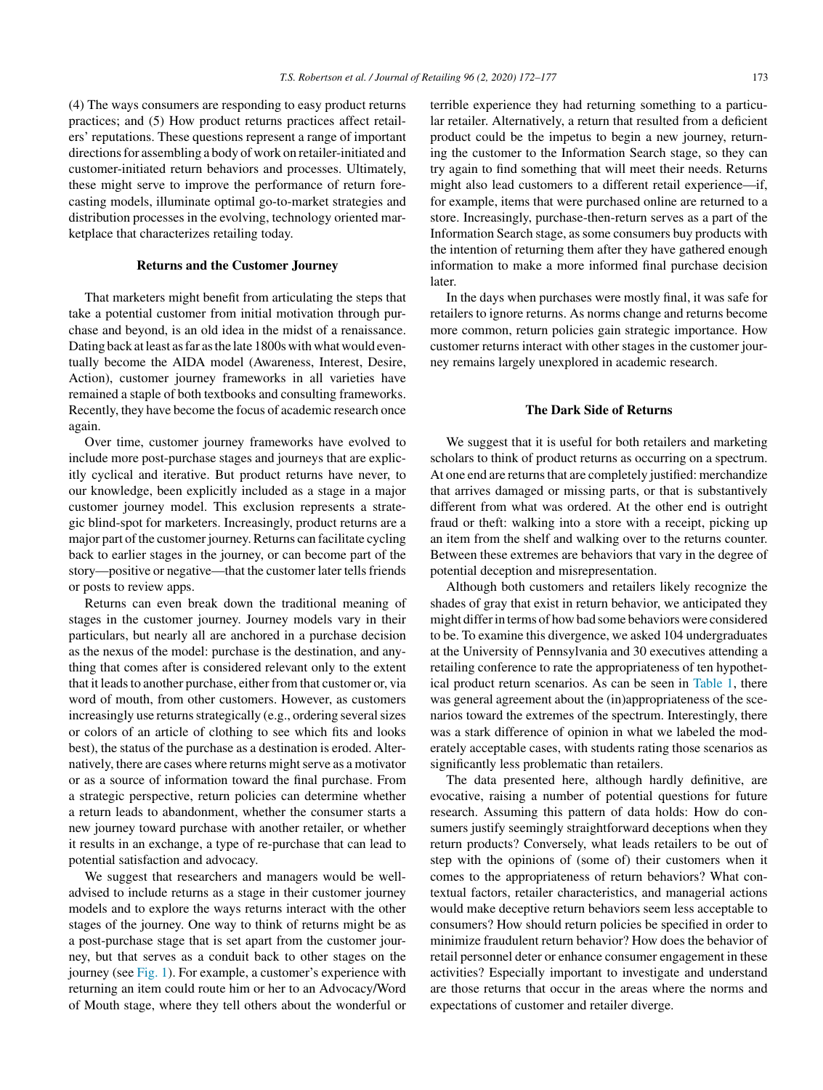(4) The ways consumers are responding to easy product returns practices; and (5) How product returns practices affect retailers' reputations. These questions represent a range of important directions for assembling a body of work on retailer-initiated and customer-initiated return behaviors and processes. Ultimately, these might serve to improve the performance of return forecasting models, illuminate optimal go-to-market strategies and distribution processes in the evolving, technology oriented marketplace that characterizes retailing today.

### **Returns and the Customer Journey**

That marketers might benefit from articulating the steps that take a potential customer from initial motivation through purchase and beyond, is an old idea in the midst of a renaissance. Dating back at least as far as the late 1800s with what would eventually become the AIDA model (Awareness, Interest, Desire, Action), customer journey frameworks in all varieties have remained a staple of both textbooks and consulting frameworks. Recently, they have become the focus of academic research once again.

Over time, customer journey frameworks have evolved to include more post-purchase stages and journeys that are explicitly cyclical and iterative. But product returns have never, to our knowledge, been explicitly included as a stage in a major customer journey model. This exclusion represents a strategic blind-spot for marketers. Increasingly, product returns are a major part of the customer journey. Returns can facilitate cycling back to earlier stages in the journey, or can become part of the story—positive or negative—that the customer later tells friends or posts to review apps.

Returns can even break down the traditional meaning of stages in the customer journey. Journey models vary in their particulars, but nearly all are anchored in a purchase decision as the nexus of the model: purchase is the destination, and anything that comes after is considered relevant only to the extent that it leads to another purchase, either from that customer or, via word of mouth, from other customers. However, as customers increasingly use returns strategically (e.g., ordering several sizes or colors of an article of clothing to see which fits and looks best), the status of the purchase as a destination is eroded. Alternatively, there are cases where returns might serve as a motivator or as a source of information toward the final purchase. From a strategic perspective, return policies can determine whether a return leads to abandonment, whether the consumer starts a new journey toward purchase with another retailer, or whether it results in an exchange, a type of re-purchase that can lead to potential satisfaction and advocacy.

We suggest that researchers and managers would be welladvised to include returns as a stage in their customer journey models and to explore the ways returns interact with the other stages of the journey. One way to think of returns might be as a post-purchase stage that is set apart from the customer journey, but that serves as a conduit back to other stages on the journey (see [Fig.](#page-2-0) 1). For example, a customer's experience with returning an item could route him or her to an Advocacy/Word of Mouth stage, where they tell others about the wonderful or terrible experience they had returning something to a particular retailer. Alternatively, a return that resulted from a deficient product could be the impetus to begin a new journey, returning the customer to the Information Search stage, so they can try again to find something that will meet their needs. Returns might also lead customers to a different retail experience—if, for example, items that were purchased online are returned to a store. Increasingly, purchase-then-return serves as a part of the Information Search stage, as some consumers buy products with the intention of returning them after they have gathered enough information to make a more informed final purchase decision later.

In the days when purchases were mostly final, it was safe for retailers to ignore returns. As norms change and returns become more common, return policies gain strategic importance. How customer returns interact with other stages in the customer journey remains largely unexplored in academic research.

## **The Dark Side of Returns**

We suggest that it is useful for both retailers and marketing scholars to think of product returns as occurring on a spectrum. At one end are returns that are completely justified: merchandize that arrives damaged or missing parts, or that is substantively different from what was ordered. At the other end is outright fraud or theft: walking into a store with a receipt, picking up an item from the shelf and walking over to the returns counter. Between these extremes are behaviors that vary in the degree of potential deception and misrepresentation.

Although both customers and retailers likely recognize the shades of gray that exist in return behavior, we anticipated they might differ in terms of how bad some behaviors were considered to be. To examine this divergence, we asked 104 undergraduates at the University of Pennsylvania and 30 executives attending a retailing conference to rate the appropriateness of ten hypothetical product return scenarios. As can be seen in [Table](#page-2-0) 1, there was general agreement about the (in)appropriateness of the scenarios toward the extremes of the spectrum. Interestingly, there was a stark difference of opinion in what we labeled the moderately acceptable cases, with students rating those scenarios as significantly less problematic than retailers.

The data presented here, although hardly definitive, are evocative, raising a number of potential questions for future research. Assuming this pattern of data holds: How do consumers justify seemingly straightforward deceptions when they return products? Conversely, what leads retailers to be out of step with the opinions of (some of) their customers when it comes to the appropriateness of return behaviors? What contextual factors, retailer characteristics, and managerial actions would make deceptive return behaviors seem less acceptable to consumers? How should return policies be specified in order to minimize fraudulent return behavior? How does the behavior of retail personnel deter or enhance consumer engagement in these activities? Especially important to investigate and understand are those returns that occur in the areas where the norms and expectations of customer and retailer diverge.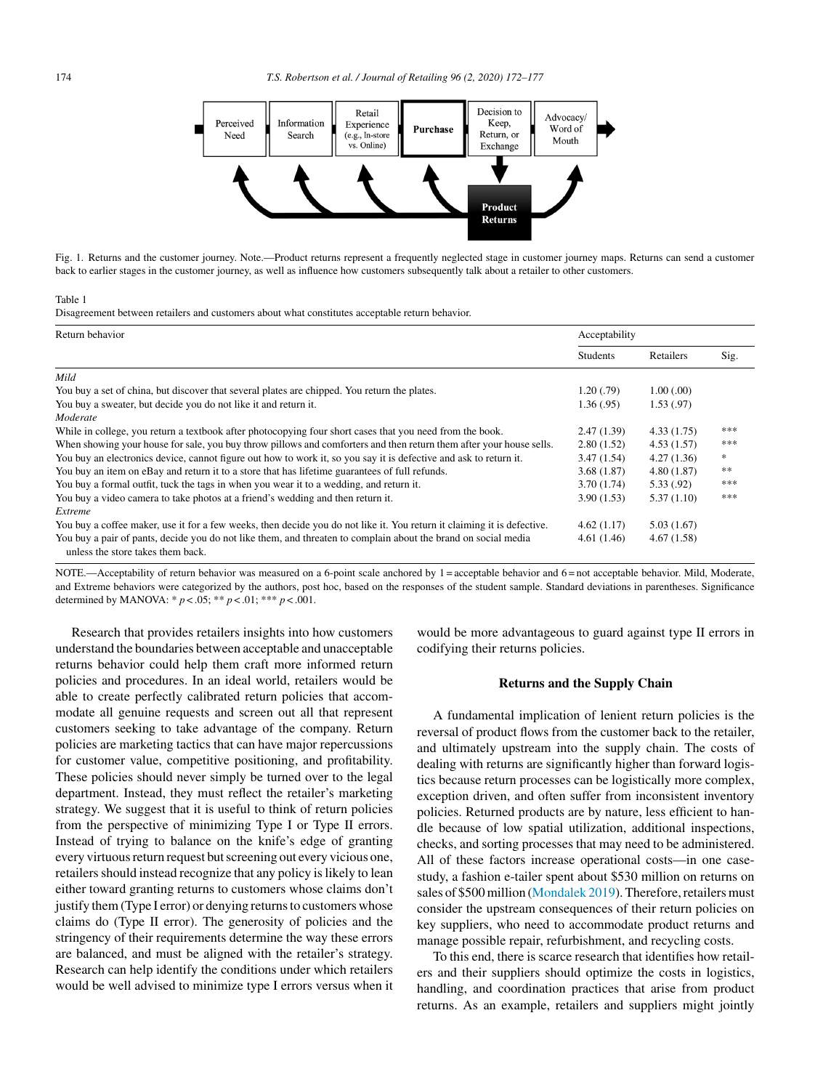<span id="page-2-0"></span>

Fig. 1. Returns and the customer journey. Note.—Product returns represent a frequently neglected stage in customer journey maps. Returns can send a customer back to earlier stages in the customer journey, as well as influence how customers subsequently talk about a retailer to other customers.

Table 1

Disagreement between retailers and customers about what constitutes acceptable return behavior.

| Return behavior                                                                                                                                     |                 | Acceptability |        |  |
|-----------------------------------------------------------------------------------------------------------------------------------------------------|-----------------|---------------|--------|--|
|                                                                                                                                                     | <b>Students</b> | Retailers     | Sig.   |  |
| Mild                                                                                                                                                |                 |               |        |  |
| You buy a set of china, but discover that several plates are chipped. You return the plates.                                                        | 1.20(0.79)      | 1.00(0.00)    |        |  |
| You buy a sweater, but decide you do not like it and return it.                                                                                     | 1.36(.95)       | 1.53(0.97)    |        |  |
| Moderate                                                                                                                                            |                 |               |        |  |
| While in college, you return a textbook after photocopying four short cases that you need from the book.                                            | 2.47(1.39)      | 4.33(1.75)    | ***    |  |
| When showing your house for sale, you buy throw pillows and comforters and then return them after your house sells.                                 | 2.80(1.52)      | 4.53(1.57)    | ***    |  |
| You buy an electronics device, cannot figure out how to work it, so you say it is defective and ask to return it.                                   | 3.47(1.54)      | 4.27(1.36)    | $\ast$ |  |
| You buy an item on eBay and return it to a store that has lifetime guarantees of full refunds.                                                      | 3.68(1.87)      | 4.80(1.87)    | **     |  |
| You buy a formal outfit, tuck the tags in when you wear it to a wedding, and return it.                                                             | 3.70(1.74)      | 5.33(.92)     | ***    |  |
| You buy a video camera to take photos at a friend's wedding and then return it.                                                                     | 3.90(1.53)      | 5.37(1.10)    | ***    |  |
| Extreme                                                                                                                                             |                 |               |        |  |
| You buy a coffee maker, use it for a few weeks, then decide you do not like it. You return it claiming it is defective.                             | 4.62(1.17)      | 5.03(1.67)    |        |  |
| You buy a pair of pants, decide you do not like them, and threaten to complain about the brand on social media<br>unless the store takes them back. | 4.61(1.46)      | 4.67(1.58)    |        |  |

NOTE.—Acceptability of return behavior was measured on a 6-point scale anchored by 1 = acceptable behavior and 6 = not acceptable behavior. Mild, Moderate, and Extreme behaviors were categorized by the authors, post hoc, based on the responses of the student sample. Standard deviations in parentheses. Significance determined by MANOVA: \* *p* < .05; \*\* *p* < .01; \*\*\* *p* < .001.

Research that provides retailers insights into how customers understand the boundaries between acceptable and unacceptable returns behavior could help them craft more informed return policies and procedures. In an ideal world, retailers would be able to create perfectly calibrated return policies that accommodate all genuine requests and screen out all that represent customers seeking to take advantage of the company. Return policies are marketing tactics that can have major repercussions for customer value, competitive positioning, and profitability. These policies should never simply be turned over to the legal department. Instead, they must reflect the retailer's marketing strategy. We suggest that it is useful to think of return policies from the perspective of minimizing Type I or Type II errors. Instead of trying to balance on the knife's edge of granting every virtuous return request but screening out every vicious one, retailers should instead recognize that any policy is likely to lean either toward granting returns to customers whose claims don't justify them (Type I error) or denying returns to customers whose claims do (Type II error). The generosity of policies and the stringency of their requirements determine the way these errors are balanced, and must be aligned with the retailer's strategy. Research can help identify the conditions under which retailers would be well advised to minimize type I errors versus when it would be more advantageous to guard against type II errors in codifying their returns policies.

#### **Returns and the Supply Chain**

A fundamental implication of lenient return policies is the reversal of product flows from the customer back to the retailer, and ultimately upstream into the supply chain. The costs of dealing with returns are significantly higher than forward logistics because return processes can be logistically more complex, exception driven, and often suffer from inconsistent inventory policies. Returned products are by nature, less efficient to handle because of low spatial utilization, additional inspections, checks, and sorting processes that may need to be administered. All of these factors increase operational costs—in one casestudy, a fashion e-tailer spent about \$530 million on returns on sales of \$500 million ([Mondalek](#page-5-0) [2019\).](#page-5-0) Therefore, retailers must consider the upstream consequences of their return policies on key suppliers, who need to accommodate product returns and manage possible repair, refurbishment, and recycling costs.

To this end, there is scarce research that identifies how retailers and their suppliers should optimize the costs in logistics, handling, and coordination practices that arise from product returns. As an example, retailers and suppliers might jointly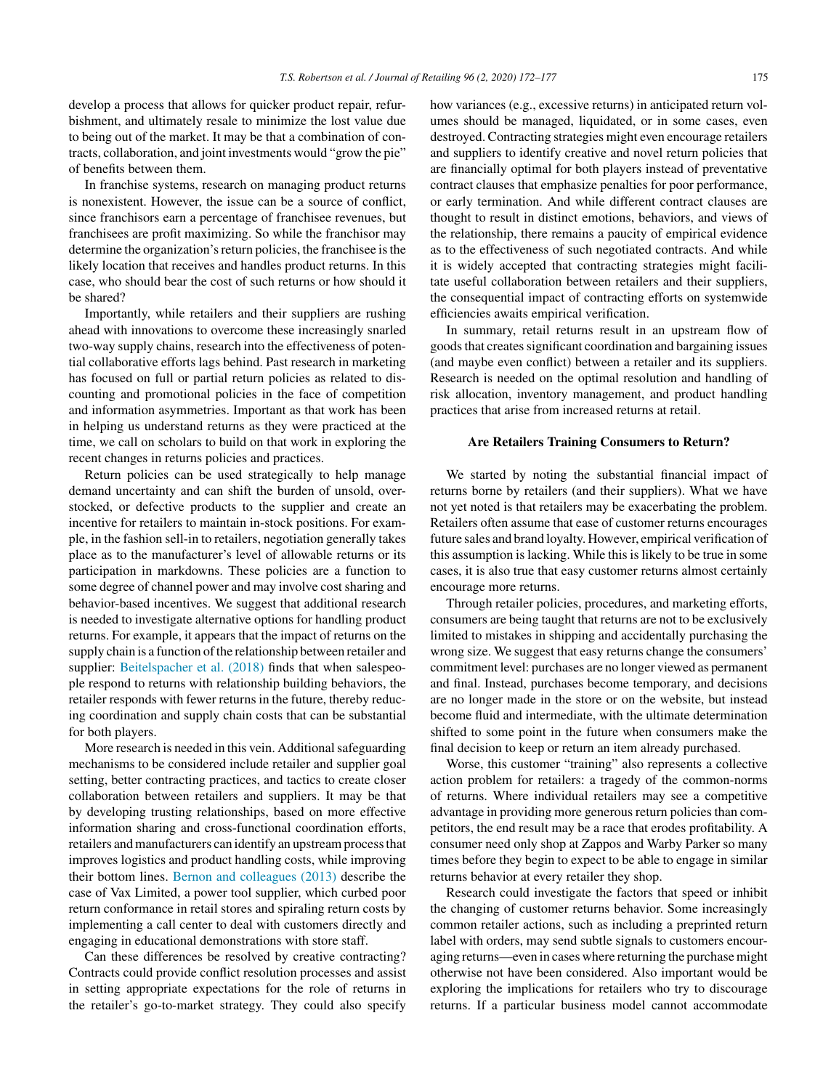develop a process that allows for quicker product repair, refurbishment, and ultimately resale to minimize the lost value due to being out of the market. It may be that a combination of contracts, collaboration, and joint investments would "grow the pie" of benefits between them.

In franchise systems, research on managing product returns is nonexistent. However, the issue can be a source of conflict, since franchisors earn a percentage of franchisee revenues, but franchisees are profit maximizing. So while the franchisor may determine the organization's return policies, the franchisee is the likely location that receives and handles product returns. In this case, who should bear the cost of such returns or how should it be shared?

Importantly, while retailers and their suppliers are rushing ahead with innovations to overcome these increasingly snarled two-way supply chains, research into the effectiveness of potential collaborative efforts lags behind. Past research in marketing has focused on full or partial return policies as related to discounting and promotional policies in the face of competition and information asymmetries. Important as that work has been in helping us understand returns as they were practiced at the time, we call on scholars to build on that work in exploring the recent changes in returns policies and practices.

Return policies can be used strategically to help manage demand uncertainty and can shift the burden of unsold, overstocked, or defective products to the supplier and create an incentive for retailers to maintain in-stock positions. For example, in the fashion sell-in to retailers, negotiation generally takes place as to the manufacturer's level of allowable returns or its participation in markdowns. These policies are a function to some degree of channel power and may involve cost sharing and behavior-based incentives. We suggest that additional research is needed to investigate alternative options for handling product returns. For example, it appears that the impact of returns on the supply chain is a function of the relationship between retailer and supplier: [Beitelspacher](#page-5-0) et [al.](#page-5-0) [\(2018\)](#page-5-0) finds that when salespeople respond to returns with relationship building behaviors, the retailer responds with fewer returns in the future, thereby reducing coordination and supply chain costs that can be substantial for both players.

More research is needed in this vein. Additional safeguarding mechanisms to be considered include retailer and supplier goal setting, better contracting practices, and tactics to create closer collaboration between retailers and suppliers. It may be that by developing trusting relationships, based on more effective information sharing and cross-functional coordination efforts, retailers and manufacturers can identify an upstream process that improves logistics and product handling costs, while improving their bottom lines. [Bernon](#page-5-0) [and](#page-5-0) [colleagues](#page-5-0) [\(2013\)](#page-5-0) describe the case of Vax Limited, a power tool supplier, which curbed poor return conformance in retail stores and spiraling return costs by implementing a call center to deal with customers directly and engaging in educational demonstrations with store staff.

Can these differences be resolved by creative contracting? Contracts could provide conflict resolution processes and assist in setting appropriate expectations for the role of returns in the retailer's go-to-market strategy. They could also specify how variances (e.g., excessive returns) in anticipated return volumes should be managed, liquidated, or in some cases, even destroyed. Contracting strategies might even encourage retailers and suppliers to identify creative and novel return policies that are financially optimal for both players instead of preventative contract clauses that emphasize penalties for poor performance, or early termination. And while different contract clauses are thought to result in distinct emotions, behaviors, and views of the relationship, there remains a paucity of empirical evidence as to the effectiveness of such negotiated contracts. And while it is widely accepted that contracting strategies might facilitate useful collaboration between retailers and their suppliers, the consequential impact of contracting efforts on systemwide efficiencies awaits empirical verification.

In summary, retail returns result in an upstream flow of goods that creates significant coordination and bargaining issues (and maybe even conflict) between a retailer and its suppliers. Research is needed on the optimal resolution and handling of risk allocation, inventory management, and product handling practices that arise from increased returns at retail.

#### **Are Retailers Training Consumers to Return?**

We started by noting the substantial financial impact of returns borne by retailers (and their suppliers). What we have not yet noted is that retailers may be exacerbating the problem. Retailers often assume that ease of customer returns encourages future sales and brand loyalty. However, empirical verification of this assumption is lacking. While this is likely to be true in some cases, it is also true that easy customer returns almost certainly encourage more returns.

Through retailer policies, procedures, and marketing efforts, consumers are being taught that returns are not to be exclusively limited to mistakes in shipping and accidentally purchasing the wrong size. We suggest that easy returns change the consumers' commitment level: purchases are no longer viewed as permanent and final. Instead, purchases become temporary, and decisions are no longer made in the store or on the website, but instead become fluid and intermediate, with the ultimate determination shifted to some point in the future when consumers make the final decision to keep or return an item already purchased.

Worse, this customer "training" also represents a collective action problem for retailers: a tragedy of the common-norms of returns. Where individual retailers may see a competitive advantage in providing more generous return policies than competitors, the end result may be a race that erodes profitability. A consumer need only shop at Zappos and Warby Parker so many times before they begin to expect to be able to engage in similar returns behavior at every retailer they shop.

Research could investigate the factors that speed or inhibit the changing of customer returns behavior. Some increasingly common retailer actions, such as including a preprinted return label with orders, may send subtle signals to customers encouraging returns—even in cases where returning the purchase might otherwise not have been considered. Also important would be exploring the implications for retailers who try to discourage returns. If a particular business model cannot accommodate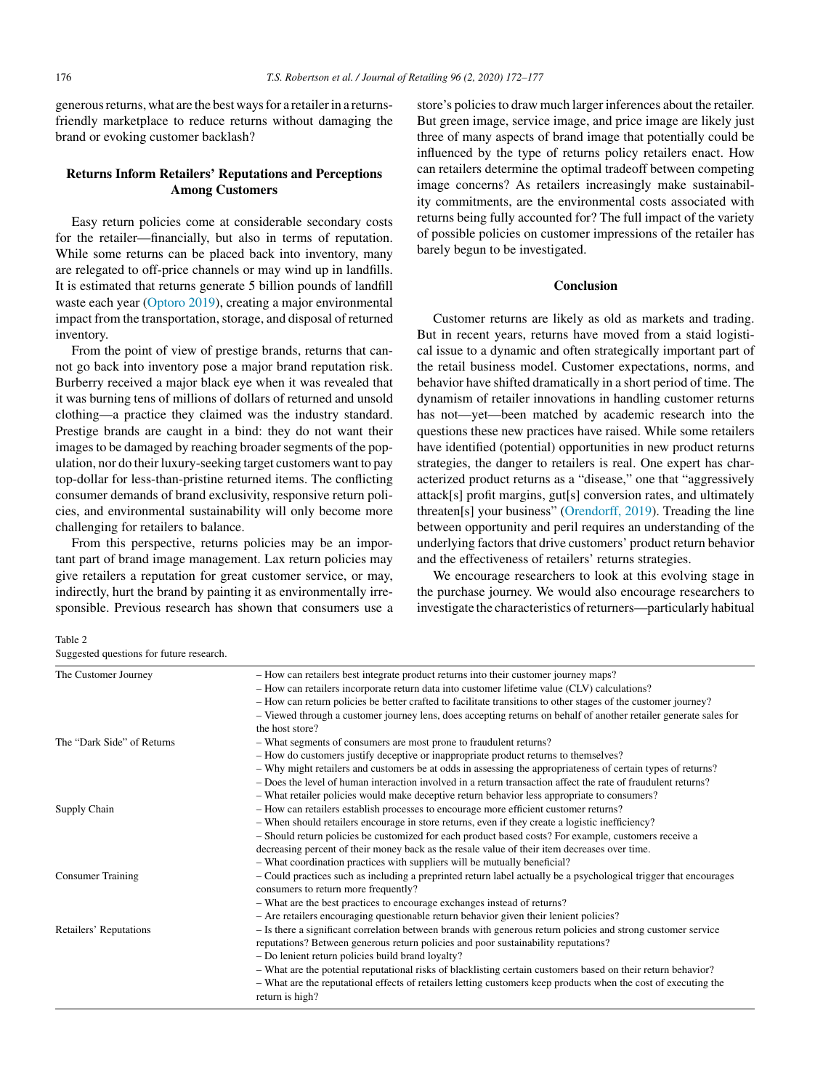<span id="page-4-0"></span>generous returns, what are the best ways for a retailer in a returnsfriendly marketplace to reduce returns without damaging the brand or evoking customer backlash?

## **Returns Inform Retailers' Reputations and Perceptions Among Customers**

Easy return policies come at considerable secondary costs for the retailer—financially, but also in terms of reputation. While some returns can be placed back into inventory, many are relegated to off-price channels or may wind up in landfills. It is estimated that returns generate 5 billion pounds of landfill waste each year [\(Optoro](#page-5-0) [2019\),](#page-5-0) creating a major environmental impact from the transportation, storage, and disposal of returned inventory.

From the point of view of prestige brands, returns that cannot go back into inventory pose a major brand reputation risk. Burberry received a major black eye when it was revealed that it was burning tens of millions of dollars of returned and unsold clothing—a practice they claimed was the industry standard. Prestige brands are caught in a bind: they do not want their images to be damaged by reaching broader segments of the population, nor do their luxury-seeking target customers want to pay top-dollar for less-than-pristine returned items. The conflicting consumer demands of brand exclusivity, responsive return policies, and environmental sustainability will only become more challenging for retailers to balance.

From this perspective, returns policies may be an important part of brand image management. Lax return policies may give retailers a reputation for great customer service, or may, indirectly, hurt the brand by painting it as environmentally irresponsible. Previous research has shown that consumers use a store's policiesto draw much larger inferences about the retailer. But green image, service image, and price image are likely just three of many aspects of brand image that potentially could be influenced by the type of returns policy retailers enact. How can retailers determine the optimal tradeoff between competing image concerns? As retailers increasingly make sustainability commitments, are the environmental costs associated with returns being fully accounted for? The full impact of the variety of possible policies on customer impressions of the retailer has barely begun to be investigated.

## **Conclusion**

Customer returns are likely as old as markets and trading. But in recent years, returns have moved from a staid logistical issue to a dynamic and often strategically important part of the retail business model. Customer expectations, norms, and behavior have shifted dramatically in a short period of time. The dynamism of retailer innovations in handling customer returns has not—yet—been matched by academic research into the questions these new practices have raised. While some retailers have identified (potential) opportunities in new product returns strategies, the danger to retailers is real. One expert has characterized product returns as a "disease," one that "aggressively attack[s] profit margins, gut[s] conversion rates, and ultimately threaten[s] your business" ([Orendorff,](#page-5-0) [2019\).](#page-5-0) Treading the line between opportunity and peril requires an understanding of the underlying factors that drive customers' product return behavior and the effectiveness of retailers' returns strategies.

We encourage researchers to look at this evolving stage in the purchase journey. We would also encourage researchers to investigate the characteristics ofreturners—particularly habitual

Suggested questions for future research.

| The Customer Journey       | - How can retailers best integrate product returns into their customer journey maps?                              |
|----------------------------|-------------------------------------------------------------------------------------------------------------------|
|                            | - How can retailers incorporate return data into customer lifetime value (CLV) calculations?                      |
|                            | - How can return policies be better crafted to facilitate transitions to other stages of the customer journey?    |
|                            | - Viewed through a customer journey lens, does accepting returns on behalf of another retailer generate sales for |
|                            | the host store?                                                                                                   |
| The "Dark Side" of Returns | - What segments of consumers are most prone to fraudulent returns?                                                |
|                            | - How do customers justify deceptive or inappropriate product returns to themselves?                              |
|                            | - Why might retailers and customers be at odds in assessing the appropriateness of certain types of returns?      |
|                            | - Does the level of human interaction involved in a return transaction affect the rate of fraudulent returns?     |
|                            | - What retailer policies would make deceptive return behavior less appropriate to consumers?                      |
| Supply Chain               | - How can retailers establish processes to encourage more efficient customer returns?                             |
|                            | - When should retailers encourage in store returns, even if they create a logistic inefficiency?                  |
|                            | - Should return policies be customized for each product based costs? For example, customers receive a             |
|                            | decreasing percent of their money back as the resale value of their item decreases over time.                     |
|                            | - What coordination practices with suppliers will be mutually beneficial?                                         |
| <b>Consumer Training</b>   | - Could practices such as including a preprinted return label actually be a psychological trigger that encourages |
|                            | consumers to return more frequently?                                                                              |
|                            | - What are the best practices to encourage exchanges instead of returns?                                          |
|                            | - Are retailers encouraging questionable return behavior given their lenient policies?                            |
| Retailers' Reputations     | - Is there a significant correlation between brands with generous return policies and strong customer service     |
|                            | reputations? Between generous return policies and poor sustainability reputations?                                |
|                            | - Do lenient return policies build brand loyalty?                                                                 |
|                            | - What are the potential reputational risks of blacklisting certain customers based on their return behavior?     |
|                            | - What are the reputational effects of retailers letting customers keep products when the cost of executing the   |
|                            | return is high?                                                                                                   |
|                            |                                                                                                                   |